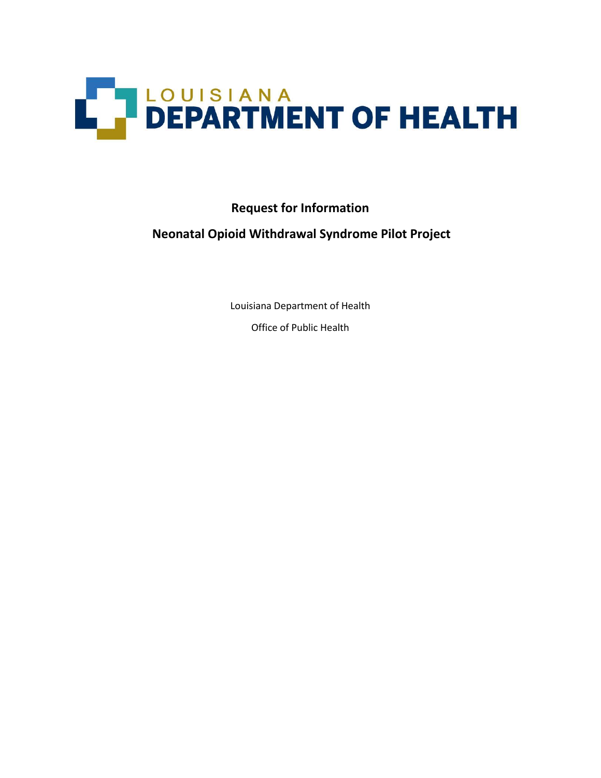

**Request for Information**

## **Neonatal Opioid Withdrawal Syndrome Pilot Project**

Louisiana Department of Health

Office of Public Health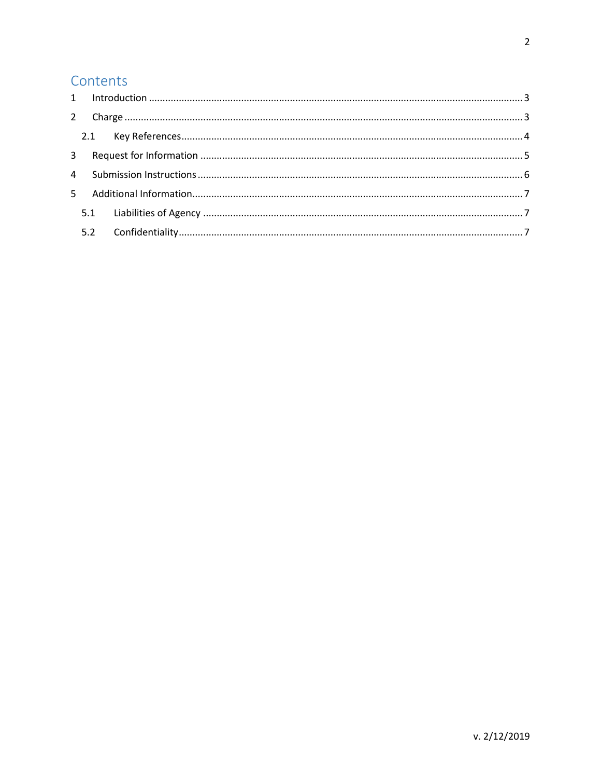# Contents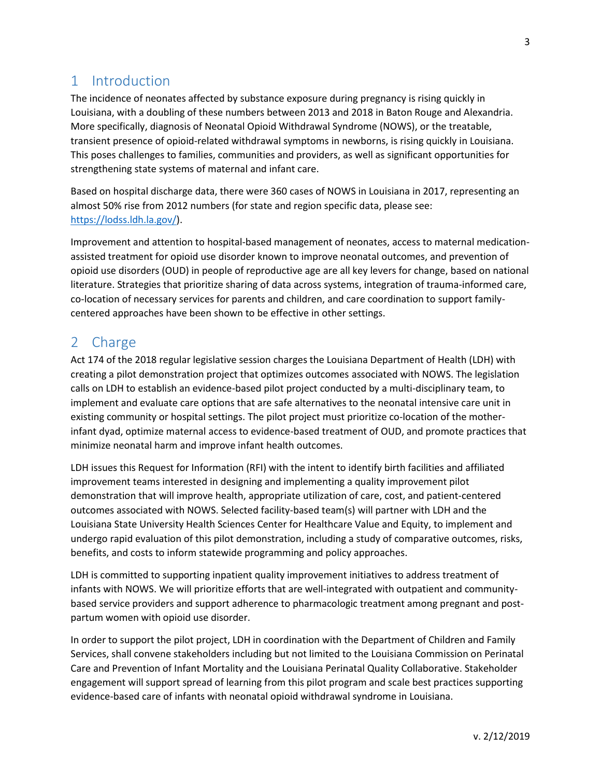## <span id="page-2-0"></span>1 Introduction

The incidence of neonates affected by substance exposure during pregnancy is rising quickly in Louisiana, with a doubling of these numbers between 2013 and 2018 in Baton Rouge and Alexandria. More specifically, diagnosis of Neonatal Opioid Withdrawal Syndrome (NOWS), or the treatable, transient presence of opioid-related withdrawal symptoms in newborns, is rising quickly in Louisiana. This poses challenges to families, communities and providers, as well as significant opportunities for strengthening state systems of maternal and infant care.

Based on hospital discharge data, there were 360 cases of NOWS in Louisiana in 2017, representing an almost 50% rise from 2012 numbers (for state and region specific data, please see: [https://lodss.ldh.la.gov/\)](https://lodss.ldh.la.gov/).

Improvement and attention to hospital-based management of neonates, access to maternal medicationassisted treatment for opioid use disorder known to improve neonatal outcomes, and prevention of opioid use disorders (OUD) in people of reproductive age are all key levers for change, based on national literature. Strategies that prioritize sharing of data across systems, integration of trauma-informed care, co-location of necessary services for parents and children, and care coordination to support familycentered approaches have been shown to be effective in other settings.

#### <span id="page-2-1"></span>2 Charge

Act 174 of the 2018 regular legislative session charges the Louisiana Department of Health (LDH) with creating a pilot demonstration project that optimizes outcomes associated with NOWS. The legislation calls on LDH to establish an evidence-based pilot project conducted by a multi-disciplinary team, to implement and evaluate care options that are safe alternatives to the neonatal intensive care unit in existing community or hospital settings. The pilot project must prioritize co-location of the motherinfant dyad, optimize maternal access to evidence-based treatment of OUD, and promote practices that minimize neonatal harm and improve infant health outcomes.

LDH issues this Request for Information (RFI) with the intent to identify birth facilities and affiliated improvement teams interested in designing and implementing a quality improvement pilot demonstration that will improve health, appropriate utilization of care, cost, and patient-centered outcomes associated with NOWS. Selected facility-based team(s) will partner with LDH and the Louisiana State University Health Sciences Center for Healthcare Value and Equity, to implement and undergo rapid evaluation of this pilot demonstration, including a study of comparative outcomes, risks, benefits, and costs to inform statewide programming and policy approaches.

LDH is committed to supporting inpatient quality improvement initiatives to address treatment of infants with NOWS. We will prioritize efforts that are well-integrated with outpatient and communitybased service providers and support adherence to pharmacologic treatment among pregnant and postpartum women with opioid use disorder.

In order to support the pilot project, LDH in coordination with the Department of Children and Family Services, shall convene stakeholders including but not limited to the Louisiana Commission on Perinatal Care and Prevention of Infant Mortality and the Louisiana Perinatal Quality Collaborative. Stakeholder engagement will support spread of learning from this pilot program and scale best practices supporting evidence-based care of infants with neonatal opioid withdrawal syndrome in Louisiana.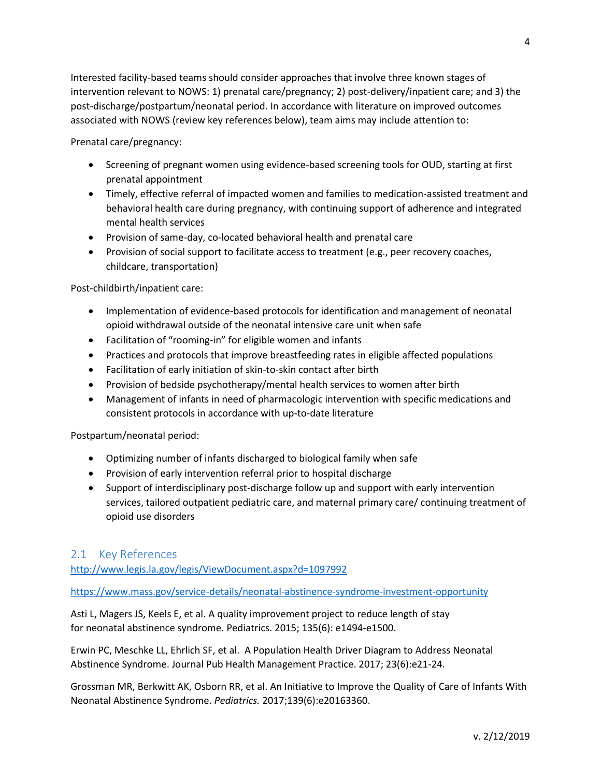Interested facility-based teams should consider approaches that involve three known stages of intervention relevant to NOWS: 1) prenatal care/pregnancy; 2) post-delivery/inpatient care; and 3) the post-discharge/postpartum/neonatal period. In accordance with literature on improved outcomes associated with NOWS (review key references below), team aims may include attention to:

Prenatal care/pregnancy:

- Screening of pregnant women using evidence-based screening tools for OUD, starting at first prenatal appointment
- Timely, effective referral of impacted women and families to medication-assisted treatment and behavioral health care during pregnancy, with continuing support of adherence and integrated mental health services
- Provision of same-day, co-located behavioral health and prenatal care
- Provision of social support to facilitate access to treatment (e.g., peer recovery coaches, childcare, transportation)

Post-childbirth/inpatient care:

- Implementation of evidence-based protocols for identification and management of neonatal opioid withdrawal outside of the neonatal intensive care unit when safe
- Facilitation of "rooming-in" for eligible women and infants
- Practices and protocols that improve breastfeeding rates in eligible affected populations
- Facilitation of early initiation of skin-to-skin contact after birth
- Provision of bedside psychotherapy/mental health services to women after birth
- Management of infants in need of pharmacologic intervention with specific medications and consistent protocols in accordance with up-to-date literature

Postpartum/neonatal period:

- Optimizing number of infants discharged to biological family when safe
- Provision of early intervention referral prior to hospital discharge
- Support of interdisciplinary post-discharge follow up and support with early intervention services, tailored outpatient pediatric care, and maternal primary care/ continuing treatment of opioid use disorders

#### <span id="page-3-0"></span>2.1 Key References

<http://www.legis.la.gov/legis/ViewDocument.aspx?d=1097992>

<https://www.mass.gov/service-details/neonatal-abstinence-syndrome-investment-opportunity>

Asti L, Magers JS, Keels E, et al. A quality improvement [project to reduce length of stay](https://www.ncbi.nlm.nih.gov/pubmed/25941308)  for neonatal [abstinence](https://www.ncbi.nlm.nih.gov/pubmed/25941308) syndrome. Pediatrics. 2015; 135(6): e1494-e1500.

[Erwin](https://www-ncbi-nlm-nih-gov.ezproxy.lsuhsc.edu/pubmed/?term=Erwin%20PC%5BAuthor%5D&cauthor=true&cauthor_uid=28181969) PC, [Meschke LL,](https://www-ncbi-nlm-nih-gov.ezproxy.lsuhsc.edu/pubmed/?term=Meschke%20LL%5BAuthor%5D&cauthor=true&cauthor_uid=28181969) [Ehrlich SF,](https://www-ncbi-nlm-nih-gov.ezproxy.lsuhsc.edu/pubmed/?term=Ehrlich%20SF%5BAuthor%5D&cauthor=true&cauthor_uid=28181969) et al. A Population Health Driver Diagram to Address Neonatal Abstinence Syndrome. Journal Pub Health Management Practice. 2017; 23(6):e21-24.

Grossman MR, Berkwitt AK, Osborn RR, et al. An Initiative to Improve the Quality of Care of Infants With Neonatal Abstinence Syndrome. *Pediatrics.* 2017;139(6):e20163360.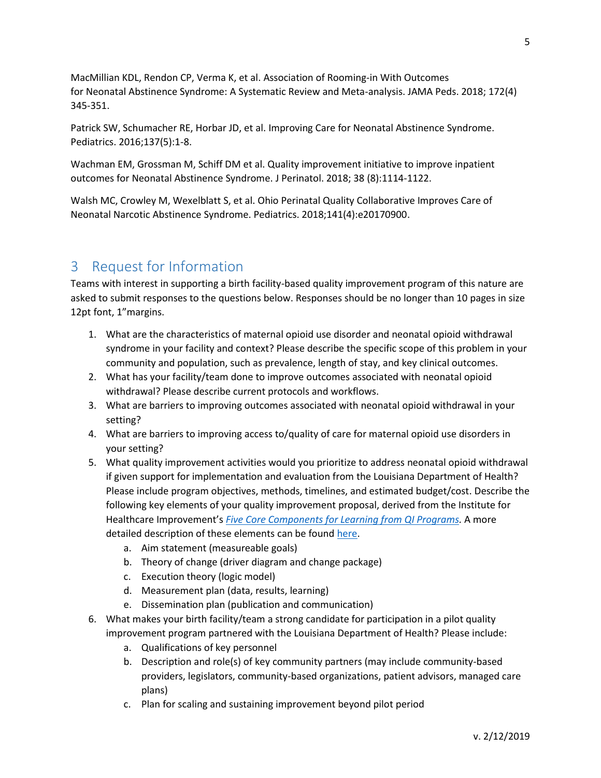MacMillian KDL, Rendon CP, Verma K, et al. [Association of Rooming-in With Outcomes](https://www.ncbi.nlm.nih.gov/pubmed/29404599)  for Neonatal Abstinence [Syndrome: A Systematic Review and Meta-analysis.](https://www.ncbi.nlm.nih.gov/pubmed/29404599) JAMA Peds. 2018; 172(4) 345-351.

Patrick SW, Schumacher RE, Horbar JD, et al. Improving Care for Neonatal Abstinence Syndrome. Pediatrics. 2016;137(5):1-8.

[Wachman EM,](https://www.ncbi.nlm.nih.gov/pubmed/?term=Wachman%20EM%5BAuthor%5D&cauthor=true&cauthor_uid=29740196) [Grossman M,](https://www.ncbi.nlm.nih.gov/pubmed/?term=Grossman%20M%5BAuthor%5D&cauthor=true&cauthor_uid=29740196) [Schiff DM](https://www.ncbi.nlm.nih.gov/pubmed/?term=Schiff%20DM%5BAuthor%5D&cauthor=true&cauthor_uid=29740196) et al. Quality improvement initiative to improve inpatient outcomes for Neonatal Abstinence Syndrome. J Perinatol. 2018; 38 (8):1114-1122.

Walsh MC, Crowley M, Wexelblatt S, et al. Ohio Perinatal Quality Collaborative Improves Care of Neonatal Narcotic Abstinence Syndrome. Pediatrics. 2018;141(4):e20170900.

#### <span id="page-4-0"></span>3 Request for Information

Teams with interest in supporting a birth facility-based quality improvement program of this nature are asked to submit responses to the questions below. Responses should be no longer than 10 pages in size 12pt font, 1"margins.

- 1. What are the characteristics of maternal opioid use disorder and neonatal opioid withdrawal syndrome in your facility and context? Please describe the specific scope of this problem in your community and population, such as prevalence, length of stay, and key clinical outcomes.
- 2. What has your facility/team done to improve outcomes associated with neonatal opioid withdrawal? Please describe current protocols and workflows.
- 3. What are barriers to improving outcomes associated with neonatal opioid withdrawal in your setting?
- 4. What are barriers to improving access to/quality of care for maternal opioid use disorders in your setting?
- 5. What quality improvement activities would you prioritize to address neonatal opioid withdrawal if given support for implementation and evaluation from the Louisiana Department of Health? Please include program objectives, methods, timelines, and estimated budget/cost. Describe the following key elements of your quality improvement proposal, derived from the Institute for Healthcare Improvement's *[Five Core Components for Learning from QI Programs.](http://www.ihi.org/communities/blogs/_layouts/15/ihi/community/blog/itemview.aspx?ID=96&List=7d1126ec-8f63-4a3b-9926-c44ea3036813)* A more detailed description of these elements can be found [here.](http://www.ihi.org/resources/Pages/HowtoImprove/default.aspx)
	- a. Aim statement (measureable goals)
	- b. Theory of change (driver diagram and change package)
	- c. Execution theory (logic model)
	- d. Measurement plan (data, results, learning)
	- e. Dissemination plan (publication and communication)
- 6. What makes your birth facility/team a strong candidate for participation in a pilot quality improvement program partnered with the Louisiana Department of Health? Please include:
	- a. Qualifications of key personnel
	- b. Description and role(s) of key community partners (may include community-based providers, legislators, community-based organizations, patient advisors, managed care plans)
	- c. Plan for scaling and sustaining improvement beyond pilot period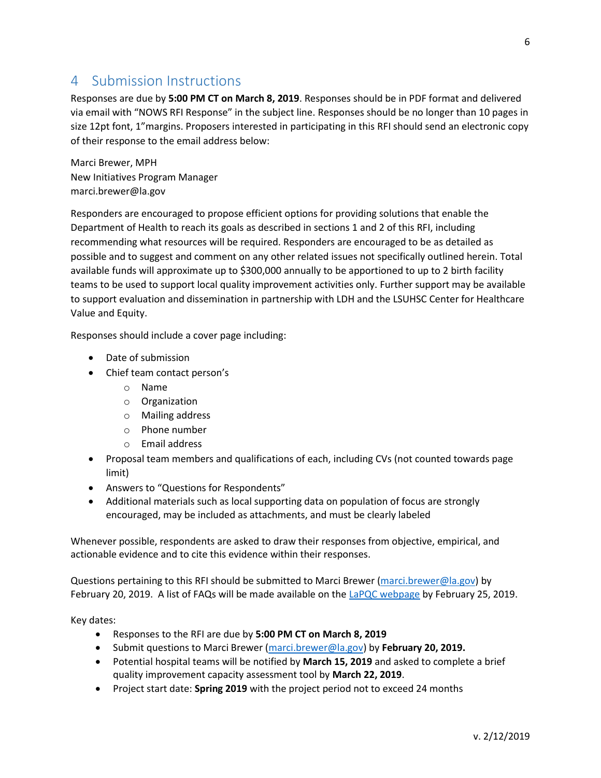## <span id="page-5-0"></span>4 Submission Instructions

Responses are due by **5:00 PM CT on March 8, 2019**. Responses should be in PDF format and delivered via email with "NOWS RFI Response" in the subject line. Responses should be no longer than 10 pages in size 12pt font, 1"margins. Proposers interested in participating in this RFI should send an electronic copy of their response to the email address below:

Marci Brewer, MPH New Initiatives Program Manager marci.brewer@la.gov

Responders are encouraged to propose efficient options for providing solutions that enable the Department of Health to reach its goals as described in sections 1 and 2 of this RFI, including recommending what resources will be required. Responders are encouraged to be as detailed as possible and to suggest and comment on any other related issues not specifically outlined herein. Total available funds will approximate up to \$300,000 annually to be apportioned to up to 2 birth facility teams to be used to support local quality improvement activities only. Further support may be available to support evaluation and dissemination in partnership with LDH and the LSUHSC Center for Healthcare Value and Equity.

Responses should include a cover page including:

- Date of submission
- Chief team contact person's
	- o Name
	- o Organization
	- o Mailing address
	- o Phone number
	- o Email address
- Proposal team members and qualifications of each, including CVs (not counted towards page limit)
- Answers to "Questions for Respondents"
- Additional materials such as local supporting data on population of focus are strongly encouraged, may be included as attachments, and must be clearly labeled

Whenever possible, respondents are asked to draw their responses from objective, empirical, and actionable evidence and to cite this evidence within their responses.

Questions pertaining to this RFI should be submitted to Marci Brewer [\(marci.brewer@la.gov\)](mailto:marci.brewer@la.gov) by February 20, 2019. A list of FAQs will be made available on th[e LaPQC webpage](https://partnersforfamilyhealth.org/lapqc/) by February 25, 2019.

Key dates:

- Responses to the RFI are due by **5:00 PM CT on March 8, 2019**
- Submit questions to Marci Brewer [\(marci.brewer@la.gov\)](mailto:marci.brewer@la.gov) by **February 20, 2019.**
- Potential hospital teams will be notified by **March 15, 2019** and asked to complete a brief quality improvement capacity assessment tool by **March 22, 2019**.
- Project start date: **Spring 2019** with the project period not to exceed 24 months